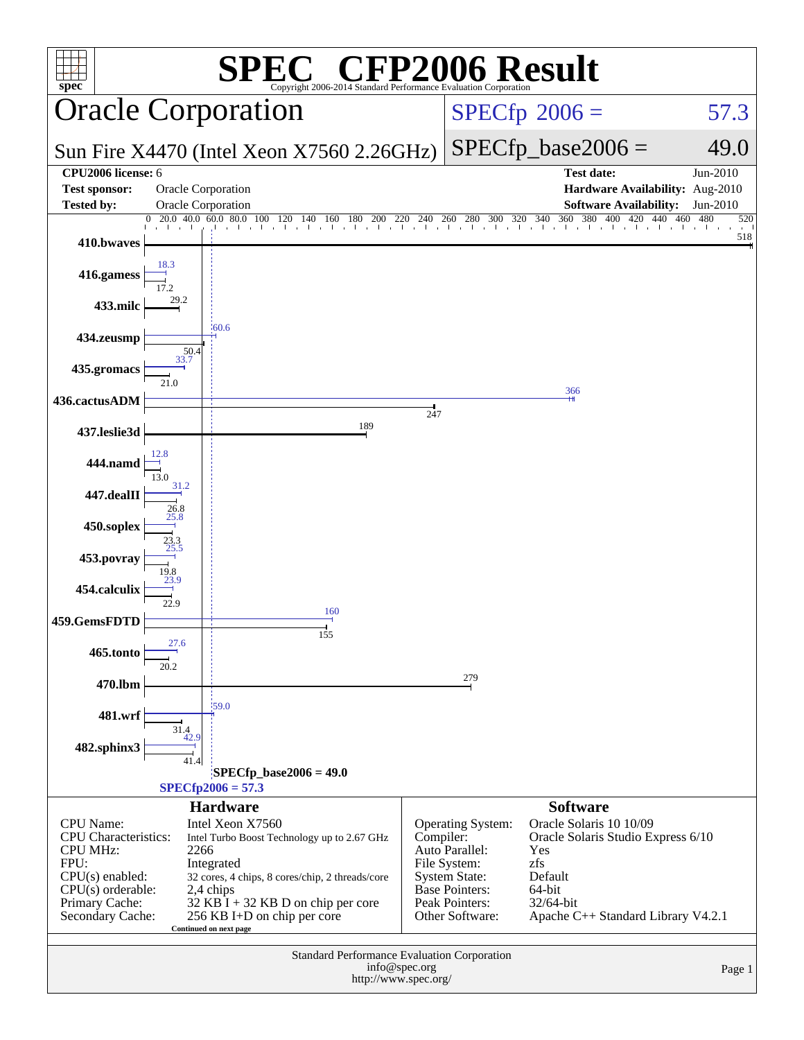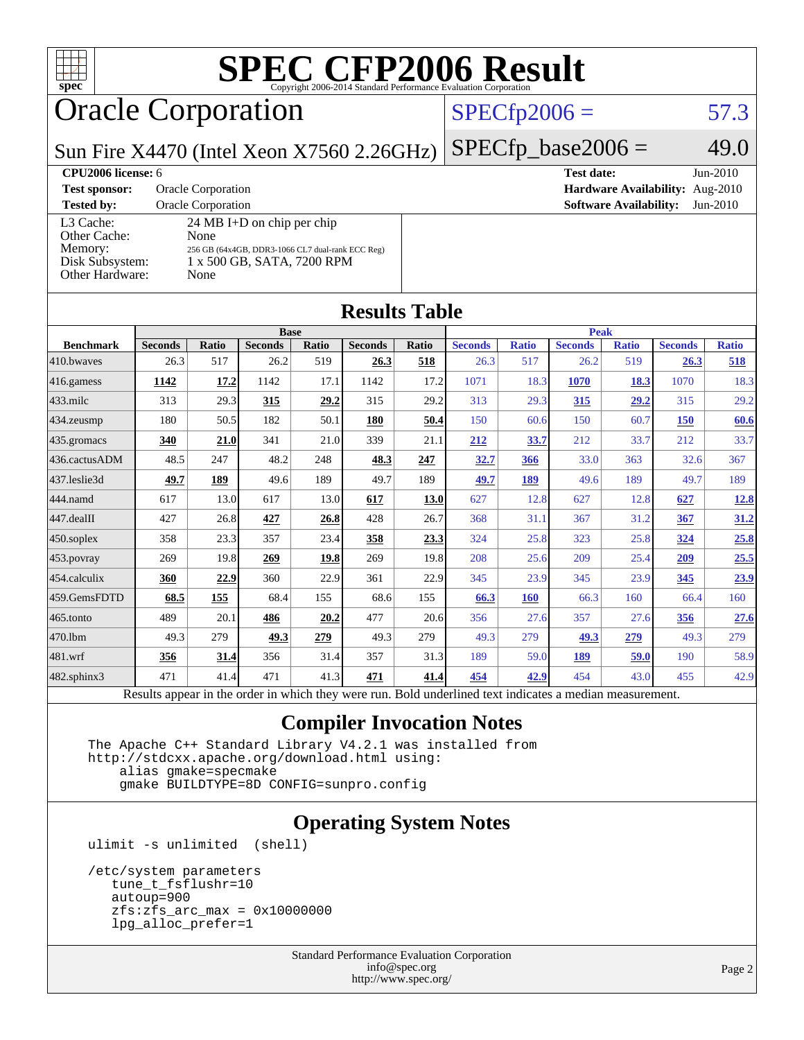

### Oracle Corporation

### $SPECfp2006 = 57.3$  $SPECfp2006 = 57.3$

Sun Fire X4470 (Intel Xeon X7560 2.26GHz)

**[CPU2006 license:](http://www.spec.org/auto/cpu2006/Docs/result-fields.html#CPU2006license)** 6 **[Test date:](http://www.spec.org/auto/cpu2006/Docs/result-fields.html#Testdate)** Jun-2010

| <b>Test sponsor:</b> | <b>Oracle Corporation</b>                        |
|----------------------|--------------------------------------------------|
| <b>Tested by:</b>    | <b>Oracle Corporation</b>                        |
| L3 Cache:            | $24 \text{ MB I+D}$ on chip per chip             |
| Other Cache:         | None                                             |
| Memory:              | 256 GB (64x4GB, DDR3-1066 CL7 dual-rank ECC Reg) |
| Disk Subsystem:      | 1 x 500 GB, SATA, 7200 RPM                       |
| Other Hardware:      | None                                             |
|                      |                                                  |

### $SPECfp\_base2006 = 49.0$

**[Hardware Availability:](http://www.spec.org/auto/cpu2006/Docs/result-fields.html#HardwareAvailability)** Aug-2010 **[Software Availability:](http://www.spec.org/auto/cpu2006/Docs/result-fields.html#SoftwareAvailability)** Jun-2010

| <b>Results Table</b> |                                                                                                          |              |                |       |                |       |                |              |                |              |                |              |
|----------------------|----------------------------------------------------------------------------------------------------------|--------------|----------------|-------|----------------|-------|----------------|--------------|----------------|--------------|----------------|--------------|
|                      | <b>Base</b><br><b>Peak</b>                                                                               |              |                |       |                |       |                |              |                |              |                |              |
| <b>Benchmark</b>     | <b>Seconds</b>                                                                                           | <b>Ratio</b> | <b>Seconds</b> | Ratio | <b>Seconds</b> | Ratio | <b>Seconds</b> | <b>Ratio</b> | <b>Seconds</b> | <b>Ratio</b> | <b>Seconds</b> | <b>Ratio</b> |
| 410.bwayes           | 26.3                                                                                                     | 517          | 26.2           | 519   | 26.3           | 518   | 26.3           | 517          | 26.2           | 519          | 26.3           | 518          |
| 416.gamess           | 1142                                                                                                     | 17.2         | 1142           | 17.1  | 1142           | 17.2  | 1071           | 18.3         | 1070           | 18.3         | 1070           | 18.3         |
| 433.milc             | 313                                                                                                      | 29.3         | 315            | 29.2  | 315            | 29.2  | 313            | 29.3         | 315            | 29.2         | 315            | 29.2         |
| 434.zeusmp           | 180                                                                                                      | 50.5         | 182            | 50.1  | 180            | 50.4  | 150            | 60.6         | 150            | 60.7         | <b>150</b>     | 60.6         |
| 435.gromacs          | 340                                                                                                      | 21.0         | 341            | 21.0  | 339            | 21.1  | 212            | 33.7         | 212            | 33.7         | 212            | 33.7         |
| 436.cactusADM        | 48.5                                                                                                     | 247          | 48.2           | 248   | 48.3           | 247   | 32.7           | 366          | 33.0           | 363          | 32.6           | 367          |
| 437.leslie3d         | 49.7                                                                                                     | 189          | 49.6           | 189   | 49.7           | 189   | 49.7           | 189          | 49.6           | 189          | 49.7           | 189          |
| 444.namd             | 617                                                                                                      | 13.0         | 617            | 13.0  | 617            | 13.0  | 627            | 12.8         | 627            | 12.8         | 627            | 12.8         |
| 447.dealII           | 427                                                                                                      | 26.8         | 427            | 26.8  | 428            | 26.7  | 368            | 31.1         | 367            | 31.2         | 367            | 31.2         |
| 450.soplex           | 358                                                                                                      | 23.3         | 357            | 23.4  | 358            | 23.3  | 324            | 25.8         | 323            | 25.8         | 324            | 25.8         |
| 453.povray           | 269                                                                                                      | 19.8         | 269            | 19.8  | 269            | 19.8  | 208            | 25.6         | 209            | 25.4         | 209            | 25.5         |
| 454.calculix         | 360                                                                                                      | 22.9         | 360            | 22.9  | 361            | 22.9  | 345            | 23.9         | 345            | 23.9         | 345            | 23.9         |
| 459.GemsFDTD         | 68.5                                                                                                     | 155          | 68.4           | 155   | 68.6           | 155   | 66.3           | <b>160</b>   | 66.3           | 160          | 66.4           | 160          |
| 465.tonto            | 489                                                                                                      | 20.1         | 486            | 20.2  | 477            | 20.6  | 356            | 27.6         | 357            | 27.6         | 356            | 27.6         |
| 470.1bm              | 49.3                                                                                                     | 279          | 49.3           | 279   | 49.3           | 279   | 49.3           | 279          | 49.3           | 279          | 49.3           | 279          |
| 481.wrf              | 356                                                                                                      | 31.4         | 356            | 31.4  | 357            | 31.3  | 189            | 59.0         | 189            | 59.0         | 190            | 58.9         |
| 482.sphinx3          | 471                                                                                                      | 41.4         | 471            | 41.3  | 471            | 41.4  | 454            | 42.9         | 454            | 43.0         | 455            | 42.9         |
|                      | Results appear in the order in which they were run. Bold underlined text indicates a median measurement. |              |                |       |                |       |                |              |                |              |                |              |

### **[Compiler Invocation Notes](http://www.spec.org/auto/cpu2006/Docs/result-fields.html#CompilerInvocationNotes)**

 The Apache C++ Standard Library V4.2.1 was installed from <http://stdcxx.apache.org/download.html> using: alias gmake=specmake

gmake BUILDTYPE=8D CONFIG=sunpro.config

### **[Operating System Notes](http://www.spec.org/auto/cpu2006/Docs/result-fields.html#OperatingSystemNotes)**

ulimit -s unlimited (shell)

```
 /etc/system parameters
  tune_t_fsflushr=10
  autoup=900
 zfs:zfs\_arc\_max = 0x10000000 lpg_alloc_prefer=1
```
Standard Performance Evaluation Corporation [info@spec.org](mailto:info@spec.org) <http://www.spec.org/>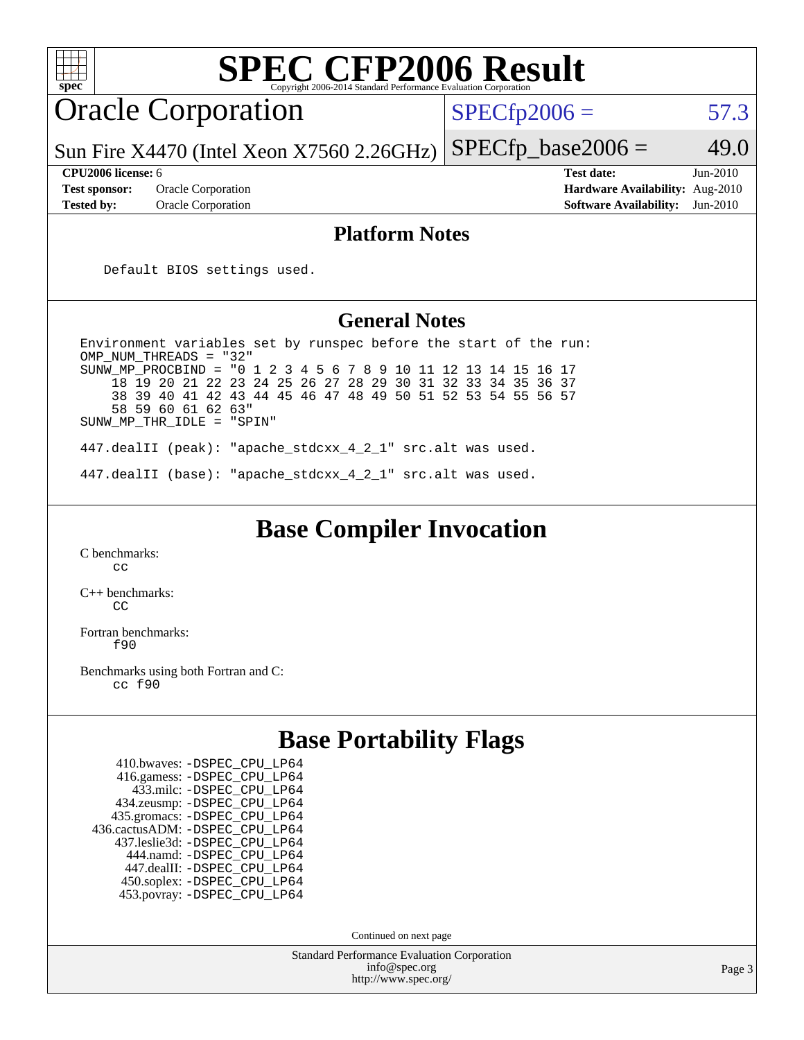| <b>SPEC CFP2006 Result</b><br>$spec^*$<br>Copyright 2006-2014 Standard Performance Evaluation Corporation                                                                                                                                                                                                                                                                             |                                                                                                                   |  |
|---------------------------------------------------------------------------------------------------------------------------------------------------------------------------------------------------------------------------------------------------------------------------------------------------------------------------------------------------------------------------------------|-------------------------------------------------------------------------------------------------------------------|--|
| <b>Oracle Corporation</b>                                                                                                                                                                                                                                                                                                                                                             | $SPECfp2006 =$<br>57.3                                                                                            |  |
| Sun Fire $X4470$ (Intel Xeon $X7560$ 2.26GHz)                                                                                                                                                                                                                                                                                                                                         | $SPECfp\_base2006 =$<br>49.0                                                                                      |  |
| CPU2006 license: 6<br><b>Test sponsor:</b><br>Oracle Corporation<br>Tested by:<br><b>Oracle Corporation</b>                                                                                                                                                                                                                                                                           | <b>Test date:</b><br>$Jun-2010$<br>Hardware Availability: Aug-2010<br><b>Software Availability:</b><br>$Jun-2010$ |  |
| <b>Platform Notes</b>                                                                                                                                                                                                                                                                                                                                                                 |                                                                                                                   |  |
| Default BIOS settings used.                                                                                                                                                                                                                                                                                                                                                           |                                                                                                                   |  |
| <b>General Notes</b>                                                                                                                                                                                                                                                                                                                                                                  |                                                                                                                   |  |
| Environment variables set by runspec before the start of the run:<br>OMP_NUM_THREADS = "32"<br>SUNW MP PROCBIND = "0 1 2 3 4 5 6 7 8 9<br>18 19 20 21 22 23 24 25 26 27 28 29 30 31 32 33 34 35 36 37<br>38 39 40 41 42 43 44 45 46 47 48 49 50 51 52 53 54 55 56 57<br>58 59 60 61 62 63"<br>SUNW_MP_THR_IDLE = "SPIN"<br>447.dealII (peak): "apache_stdcxx_4_2_1" src.alt was used. | 10 11 12 13 14 15 16 17                                                                                           |  |
| 447.dealII (base): "apache_stdcxx_4_2_1" src.alt was used.                                                                                                                                                                                                                                                                                                                            |                                                                                                                   |  |
| <b>Base Compiler Invocation</b><br>C benchmarks:<br>cc<br>$C_{++}$ benchmarks:<br>CC<br>Fortran benchmarks:<br>f90<br>Benchmarks using both Fortran and C:<br>cc f90                                                                                                                                                                                                                  |                                                                                                                   |  |
| <b>Base Portability Flags</b>                                                                                                                                                                                                                                                                                                                                                         |                                                                                                                   |  |
| 410.bwaves: - DSPEC_CPU_LP64<br>416.gamess: -DSPEC_CPU_LP64<br>433.milc: -DSPEC_CPU_LP64<br>434.zeusmp: - DSPEC_CPU_LP64<br>435.gromacs: -DSPEC_CPU_LP64<br>436.cactusADM: - DSPEC_CPU_LP64<br>437.leslie3d: -DSPEC_CPU_LP64<br>444.namd: -DSPEC_CPU_LP64<br>447.dealII: -DSPEC_CPU_LP64<br>450.soplex: -DSPEC_CPU_LP64<br>453.povray: -DSPEC_CPU_LP64<br>Continued on next page      |                                                                                                                   |  |
| <b>Standard Performance Evaluation Corporation</b><br>info@spec.org                                                                                                                                                                                                                                                                                                                   |                                                                                                                   |  |
| http://www.spec.org/                                                                                                                                                                                                                                                                                                                                                                  | Page 3                                                                                                            |  |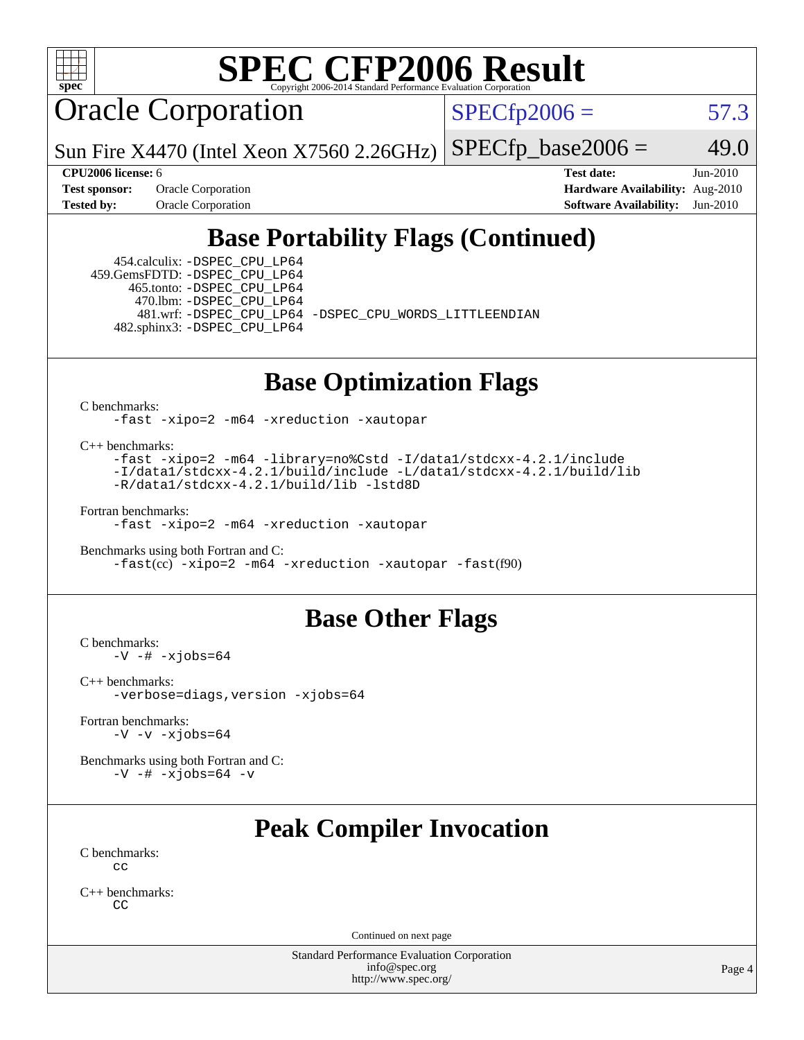

Oracle Corporation

 $SPECfp2006 = 57.3$  $SPECfp2006 = 57.3$ 

Sun Fire X4470 (Intel Xeon X7560 2.26GHz)  $SPECfp\_base2006 = 49.0$ 

**[CPU2006 license:](http://www.spec.org/auto/cpu2006/Docs/result-fields.html#CPU2006license)** 6 **[Test date:](http://www.spec.org/auto/cpu2006/Docs/result-fields.html#Testdate)** Jun-2010 **[Test sponsor:](http://www.spec.org/auto/cpu2006/Docs/result-fields.html#Testsponsor)** Oracle Corporation **[Hardware Availability:](http://www.spec.org/auto/cpu2006/Docs/result-fields.html#HardwareAvailability)** Aug-2010 **[Tested by:](http://www.spec.org/auto/cpu2006/Docs/result-fields.html#Testedby)** Oracle Corporation **[Software Availability:](http://www.spec.org/auto/cpu2006/Docs/result-fields.html#SoftwareAvailability)** Jun-2010

### **[Base Portability Flags \(Continued\)](http://www.spec.org/auto/cpu2006/Docs/result-fields.html#BasePortabilityFlags)**

 454.calculix: [-DSPEC\\_CPU\\_LP64](http://www.spec.org/cpu2006/results/res2010q3/cpu2006-20100620-11763.flags.html#suite_basePORTABILITY454_calculix_DSPEC_CPU_LP64) 459.GemsFDTD: [-DSPEC\\_CPU\\_LP64](http://www.spec.org/cpu2006/results/res2010q3/cpu2006-20100620-11763.flags.html#suite_basePORTABILITY459_GemsFDTD_DSPEC_CPU_LP64) 465.tonto: [-DSPEC\\_CPU\\_LP64](http://www.spec.org/cpu2006/results/res2010q3/cpu2006-20100620-11763.flags.html#suite_basePORTABILITY465_tonto_DSPEC_CPU_LP64) 470.lbm: [-DSPEC\\_CPU\\_LP64](http://www.spec.org/cpu2006/results/res2010q3/cpu2006-20100620-11763.flags.html#suite_basePORTABILITY470_lbm_DSPEC_CPU_LP64) 482.sphinx3: [-DSPEC\\_CPU\\_LP64](http://www.spec.org/cpu2006/results/res2010q3/cpu2006-20100620-11763.flags.html#suite_basePORTABILITY482_sphinx3_DSPEC_CPU_LP64)

481.wrf: [-DSPEC\\_CPU\\_LP64](http://www.spec.org/cpu2006/results/res2010q3/cpu2006-20100620-11763.flags.html#suite_basePORTABILITY481_wrf_DSPEC_CPU_LP64) [-DSPEC\\_CPU\\_WORDS\\_LITTLEENDIAN](http://www.spec.org/cpu2006/results/res2010q3/cpu2006-20100620-11763.flags.html#b481.wrf_baseCPORTABILITY_DSPEC_CPU_WORDS_LITTLEENDIAN)

### **[Base Optimization Flags](http://www.spec.org/auto/cpu2006/Docs/result-fields.html#BaseOptimizationFlags)**

[C benchmarks](http://www.spec.org/auto/cpu2006/Docs/result-fields.html#Cbenchmarks):

[-fast](http://www.spec.org/cpu2006/results/res2010q3/cpu2006-20100620-11763.flags.html#user_CCbase_fast_cc) [-xipo=2](http://www.spec.org/cpu2006/results/res2010q3/cpu2006-20100620-11763.flags.html#user_CCbase_xipo_5e3708e8f61bc7c7cade0f8c4dada1db) [-m64](http://www.spec.org/cpu2006/results/res2010q3/cpu2006-20100620-11763.flags.html#user_CCbase_F-m64) [-xreduction](http://www.spec.org/cpu2006/results/res2010q3/cpu2006-20100620-11763.flags.html#user_CCbase_F-xreduction) [-xautopar](http://www.spec.org/cpu2006/results/res2010q3/cpu2006-20100620-11763.flags.html#user_CCbase_F-xautopar)

[C++ benchmarks:](http://www.spec.org/auto/cpu2006/Docs/result-fields.html#CXXbenchmarks)

[-fast](http://www.spec.org/cpu2006/results/res2010q3/cpu2006-20100620-11763.flags.html#user_CXXbase_fast_CC) [-xipo=2](http://www.spec.org/cpu2006/results/res2010q3/cpu2006-20100620-11763.flags.html#user_CXXbase_xipo_5e3708e8f61bc7c7cade0f8c4dada1db) [-m64](http://www.spec.org/cpu2006/results/res2010q3/cpu2006-20100620-11763.flags.html#user_CXXbase_F-m64) [-library=no%Cstd](http://www.spec.org/cpu2006/results/res2010q3/cpu2006-20100620-11763.flags.html#user_CXXbase_libnostd_da34b52876dd9b1697776043cd006b82) [-I/data1/stdcxx-4.2.1/include](http://www.spec.org/cpu2006/results/res2010q3/cpu2006-20100620-11763.flags.html#user_CXXbase_Istd_4fc7ad00c9c434abcb7de97d85ed6ad2) [-I/data1/stdcxx-4.2.1/build/include](http://www.spec.org/cpu2006/results/res2010q3/cpu2006-20100620-11763.flags.html#user_CXXbase_Istd_4b9c40c8918f57fee28a1200b57dc7cb) [-L/data1/stdcxx-4.2.1/build/lib](http://www.spec.org/cpu2006/results/res2010q3/cpu2006-20100620-11763.flags.html#user_CXXbase_Lstd_6add3e3fff8e2dc5dfe0d420dc2ed732) [-R/data1/stdcxx-4.2.1/build/lib](http://www.spec.org/cpu2006/results/res2010q3/cpu2006-20100620-11763.flags.html#user_CXXbase_Rstd_40c30b0b63436923f138f07b8376a63f) [-lstd8D](http://www.spec.org/cpu2006/results/res2010q3/cpu2006-20100620-11763.flags.html#user_CXXbase_F-lstd)

[Fortran benchmarks](http://www.spec.org/auto/cpu2006/Docs/result-fields.html#Fortranbenchmarks):

[-fast](http://www.spec.org/cpu2006/results/res2010q3/cpu2006-20100620-11763.flags.html#user_FCbase_fast_f90) [-xipo=2](http://www.spec.org/cpu2006/results/res2010q3/cpu2006-20100620-11763.flags.html#user_FCbase_xipo_5e3708e8f61bc7c7cade0f8c4dada1db) [-m64](http://www.spec.org/cpu2006/results/res2010q3/cpu2006-20100620-11763.flags.html#user_FCbase_F-m64) [-xreduction](http://www.spec.org/cpu2006/results/res2010q3/cpu2006-20100620-11763.flags.html#user_FCbase_F-xreduction) [-xautopar](http://www.spec.org/cpu2006/results/res2010q3/cpu2006-20100620-11763.flags.html#user_FCbase_F-xautopar)

[Benchmarks using both Fortran and C](http://www.spec.org/auto/cpu2006/Docs/result-fields.html#BenchmarksusingbothFortranandC): [-fast](http://www.spec.org/cpu2006/results/res2010q3/cpu2006-20100620-11763.flags.html#user_CC_FCbase_fast_cc)(cc) [-xipo=2](http://www.spec.org/cpu2006/results/res2010q3/cpu2006-20100620-11763.flags.html#user_CC_FCbase_xipo_5e3708e8f61bc7c7cade0f8c4dada1db) [-m64](http://www.spec.org/cpu2006/results/res2010q3/cpu2006-20100620-11763.flags.html#user_CC_FCbase_F-m64) [-xreduction](http://www.spec.org/cpu2006/results/res2010q3/cpu2006-20100620-11763.flags.html#user_CC_FCbase_F-xreduction) [-xautopar](http://www.spec.org/cpu2006/results/res2010q3/cpu2006-20100620-11763.flags.html#user_CC_FCbase_F-xautopar) [-fast](http://www.spec.org/cpu2006/results/res2010q3/cpu2006-20100620-11763.flags.html#user_CC_FCbase_fast_f90)(f90)

### **[Base Other Flags](http://www.spec.org/auto/cpu2006/Docs/result-fields.html#BaseOtherFlags)**

[C benchmarks](http://www.spec.org/auto/cpu2006/Docs/result-fields.html#Cbenchmarks):  $-V - # -xjobs=64$  $-V - # -xjobs=64$  $-V - # -xjobs=64$ 

[C++ benchmarks:](http://www.spec.org/auto/cpu2006/Docs/result-fields.html#CXXbenchmarks) [-verbose=diags,version](http://www.spec.org/cpu2006/results/res2010q3/cpu2006-20100620-11763.flags.html#user_CXXbase_verbose_CC) [-xjobs=64](http://www.spec.org/cpu2006/results/res2010q3/cpu2006-20100620-11763.flags.html#user_CXXbase_xjobs_c6d4575b34c026ddf019033dfae9b6f4)

[Fortran benchmarks](http://www.spec.org/auto/cpu2006/Docs/result-fields.html#Fortranbenchmarks):  $-V$   $-v$   $-xjobs=64$ 

[Benchmarks using both Fortran and C](http://www.spec.org/auto/cpu2006/Docs/result-fields.html#BenchmarksusingbothFortranandC):  $-V$   $-$ #  $-x$ jobs=64  $-v$ 

### **[Peak Compiler Invocation](http://www.spec.org/auto/cpu2006/Docs/result-fields.html#PeakCompilerInvocation)**

[C benchmarks](http://www.spec.org/auto/cpu2006/Docs/result-fields.html#Cbenchmarks): [cc](http://www.spec.org/cpu2006/results/res2010q3/cpu2006-20100620-11763.flags.html#user_CCpeak_sun_cc)

[C++ benchmarks:](http://www.spec.org/auto/cpu2006/Docs/result-fields.html#CXXbenchmarks) [CC](http://www.spec.org/cpu2006/results/res2010q3/cpu2006-20100620-11763.flags.html#user_CXXpeak_sun_CC)

Continued on next page

Standard Performance Evaluation Corporation [info@spec.org](mailto:info@spec.org) <http://www.spec.org/>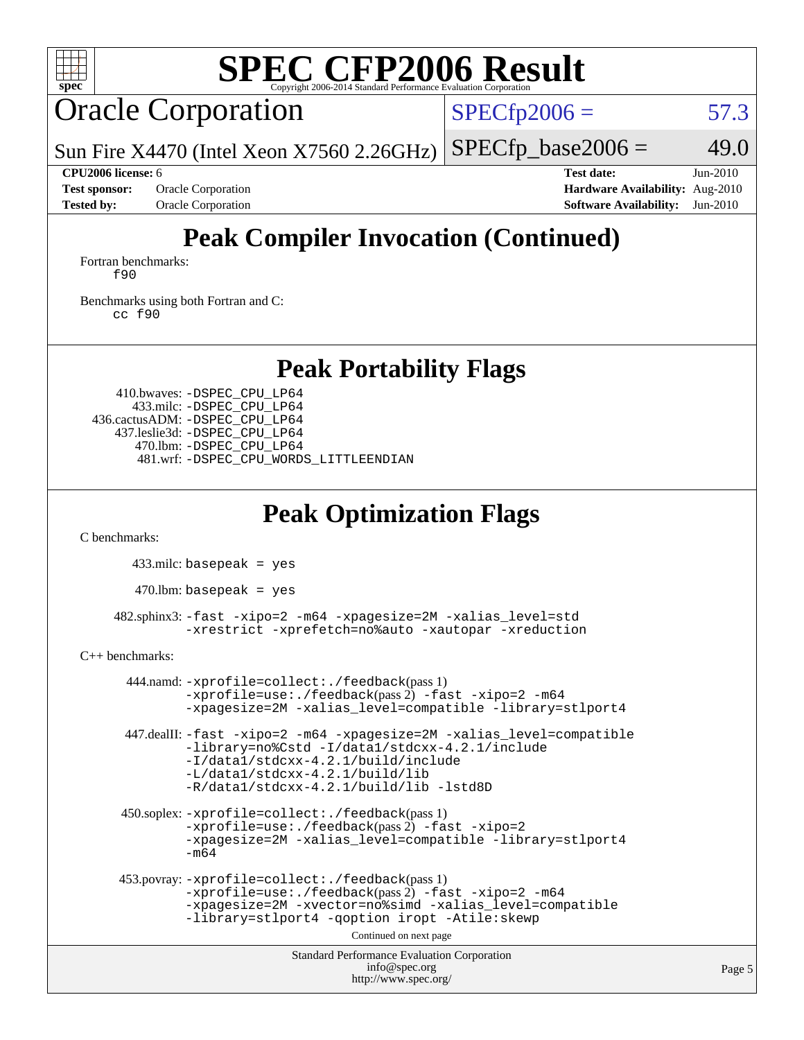

### Oracle Corporation

 $SPECfp2006 = 57.3$  $SPECfp2006 = 57.3$ 

Sun Fire X4470 (Intel Xeon X7560 2.26GHz)  $SPECTp\_base2006 = 49.0$ 

**[CPU2006 license:](http://www.spec.org/auto/cpu2006/Docs/result-fields.html#CPU2006license)** 6 **[Test date:](http://www.spec.org/auto/cpu2006/Docs/result-fields.html#Testdate)** Jun-2010 **[Test sponsor:](http://www.spec.org/auto/cpu2006/Docs/result-fields.html#Testsponsor)** Oracle Corporation **[Hardware Availability:](http://www.spec.org/auto/cpu2006/Docs/result-fields.html#HardwareAvailability)** Aug-2010 **[Tested by:](http://www.spec.org/auto/cpu2006/Docs/result-fields.html#Testedby)** Oracle Corporation **[Software Availability:](http://www.spec.org/auto/cpu2006/Docs/result-fields.html#SoftwareAvailability)** Jun-2010

### **[Peak Compiler Invocation \(Continued\)](http://www.spec.org/auto/cpu2006/Docs/result-fields.html#PeakCompilerInvocation)**

[Fortran benchmarks](http://www.spec.org/auto/cpu2006/Docs/result-fields.html#Fortranbenchmarks): [f90](http://www.spec.org/cpu2006/results/res2010q3/cpu2006-20100620-11763.flags.html#user_FCpeak_sun_f90)

[Benchmarks using both Fortran and C](http://www.spec.org/auto/cpu2006/Docs/result-fields.html#BenchmarksusingbothFortranandC): [cc](http://www.spec.org/cpu2006/results/res2010q3/cpu2006-20100620-11763.flags.html#user_CC_FCpeak_sun_cc) [f90](http://www.spec.org/cpu2006/results/res2010q3/cpu2006-20100620-11763.flags.html#user_CC_FCpeak_sun_f90)

**[Peak Portability Flags](http://www.spec.org/auto/cpu2006/Docs/result-fields.html#PeakPortabilityFlags)**

 410.bwaves: [-DSPEC\\_CPU\\_LP64](http://www.spec.org/cpu2006/results/res2010q3/cpu2006-20100620-11763.flags.html#suite_peakPORTABILITY410_bwaves_DSPEC_CPU_LP64) 433.milc: [-DSPEC\\_CPU\\_LP64](http://www.spec.org/cpu2006/results/res2010q3/cpu2006-20100620-11763.flags.html#suite_peakPORTABILITY433_milc_DSPEC_CPU_LP64) 436.cactusADM: [-DSPEC\\_CPU\\_LP64](http://www.spec.org/cpu2006/results/res2010q3/cpu2006-20100620-11763.flags.html#suite_peakPORTABILITY436_cactusADM_DSPEC_CPU_LP64) 437.leslie3d: [-DSPEC\\_CPU\\_LP64](http://www.spec.org/cpu2006/results/res2010q3/cpu2006-20100620-11763.flags.html#suite_peakPORTABILITY437_leslie3d_DSPEC_CPU_LP64) 470.lbm: [-DSPEC\\_CPU\\_LP64](http://www.spec.org/cpu2006/results/res2010q3/cpu2006-20100620-11763.flags.html#suite_peakPORTABILITY470_lbm_DSPEC_CPU_LP64) 481.wrf: [-DSPEC\\_CPU\\_WORDS\\_LITTLEENDIAN](http://www.spec.org/cpu2006/results/res2010q3/cpu2006-20100620-11763.flags.html#b481.wrf_peakCPORTABILITY_DSPEC_CPU_WORDS_LITTLEENDIAN)

### **[Peak Optimization Flags](http://www.spec.org/auto/cpu2006/Docs/result-fields.html#PeakOptimizationFlags)**

[C benchmarks](http://www.spec.org/auto/cpu2006/Docs/result-fields.html#Cbenchmarks):

433.milc: basepeak = yes

470.lbm: basepeak = yes

 482.sphinx3: [-fast](http://www.spec.org/cpu2006/results/res2010q3/cpu2006-20100620-11763.flags.html#user_peakOPTIMIZE482_sphinx3_fast_cc) [-xipo=2](http://www.spec.org/cpu2006/results/res2010q3/cpu2006-20100620-11763.flags.html#user_peakOPTIMIZE482_sphinx3_xipo_5e3708e8f61bc7c7cade0f8c4dada1db) [-m64](http://www.spec.org/cpu2006/results/res2010q3/cpu2006-20100620-11763.flags.html#user_peakOPTIMIZE482_sphinx3_F-m64) [-xpagesize=2M](http://www.spec.org/cpu2006/results/res2010q3/cpu2006-20100620-11763.flags.html#user_peakOPTIMIZE482_sphinx3_xpagesize_f50b67cca4ef3b24ae5e9aaf0af70b7e) [-xalias\\_level=std](http://www.spec.org/cpu2006/results/res2010q3/cpu2006-20100620-11763.flags.html#user_peakCOPTIMIZE482_sphinx3_xalias_level_cc_ed12b6aa9cc1ccf9ee8329664a2d2066) [-xrestrict](http://www.spec.org/cpu2006/results/res2010q3/cpu2006-20100620-11763.flags.html#user_peakEXTRA_OPTIMIZE482_sphinx3_F-xrestrict) [-xprefetch=no%auto](http://www.spec.org/cpu2006/results/res2010q3/cpu2006-20100620-11763.flags.html#user_peakEXTRA_OPTIMIZE482_sphinx3_xprefetch_aadf369b144f677b141e4051b7b2a0c9) [-xautopar](http://www.spec.org/cpu2006/results/res2010q3/cpu2006-20100620-11763.flags.html#user_peakEXTRA_OPTIMIZE482_sphinx3_F-xautopar) [-xreduction](http://www.spec.org/cpu2006/results/res2010q3/cpu2006-20100620-11763.flags.html#user_peakEXTRA_OPTIMIZE482_sphinx3_F-xreduction)

[C++ benchmarks:](http://www.spec.org/auto/cpu2006/Docs/result-fields.html#CXXbenchmarks)

```
Standard Performance Evaluation Corporation
                                 info@spec.org
 444.namd: -xprofile=collect:./feedback(pass 1)
        -xprofile=use:./feedback(pass 2) -fast -xipo=2 -m64
        -xpagesize=2M -xalias_level=compatible -library=stlport4
447.dealII: -fast -xipo=2 -m64 -xpagesize=2M -xalias_level=compatible
        -library=no%Cstd -I/data1/stdcxx-4.2.1/include
        -I/data1/stdcxx-4.2.1/build/include
        -L/data1/stdcxx-4.2.1/build/lib
        -R/data1/stdcxx-4.2.1/build/lib -lstd8D
450.soplex: -xprofile=collect:./feedback(pass 1)
        -xprofile=use:./feedback(pass 2) -fast -xipo=2
        -xpagesize=2M -xalias_level=compatible -library=stlport4
        -m64
453.povray: -xprofile=collect:./feedback(pass 1)
        -xprofile=use:./feedback(pass 2) -fast -xipo=2 -m64
        -xpagesize=2M -xvector=no%simd -xalias_level=compatible
        -library=stlport4 -qoption iropt -Atile:skewp
                               Continued on next page
```
<http://www.spec.org/>

Page 5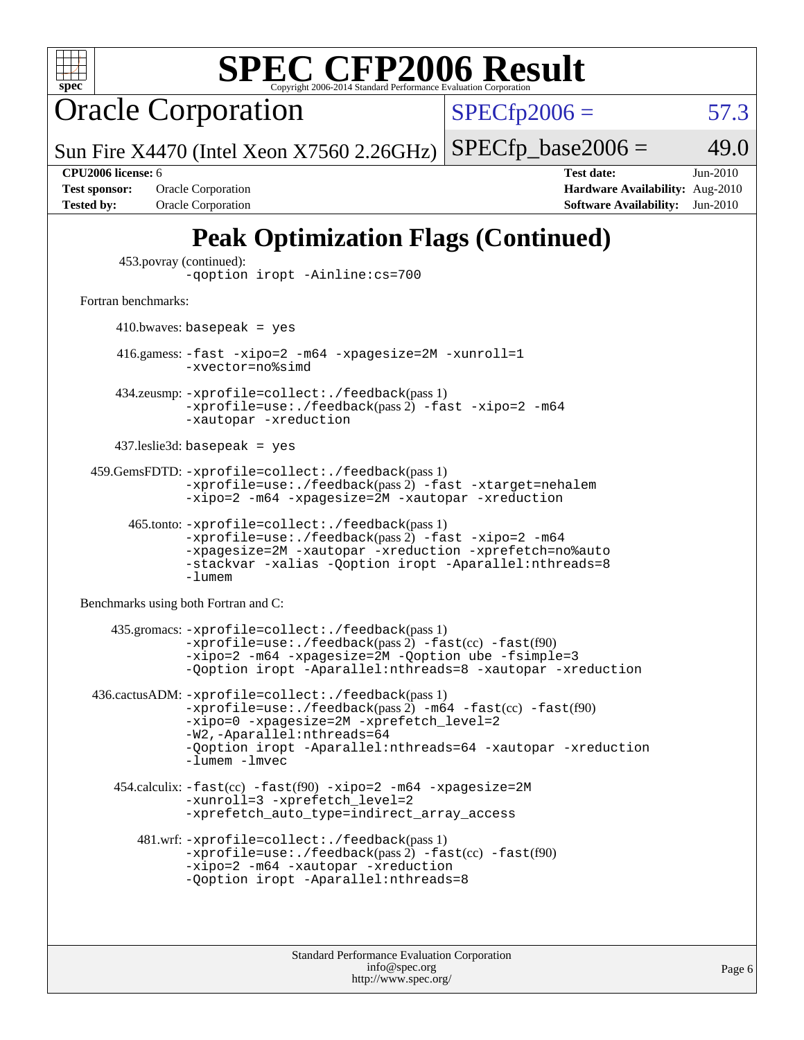

Oracle Corporation

 $SPECTp2006 = 57.3$ 

Sun Fire X4470 (Intel Xeon X7560 2.26GHz)  $SPECTp\_base2006 = 49.0$ 

**[Test sponsor:](http://www.spec.org/auto/cpu2006/Docs/result-fields.html#Testsponsor)** Oracle Corporation **[Hardware Availability:](http://www.spec.org/auto/cpu2006/Docs/result-fields.html#HardwareAvailability)** Aug-2010

**[CPU2006 license:](http://www.spec.org/auto/cpu2006/Docs/result-fields.html#CPU2006license)** 6 **[Test date:](http://www.spec.org/auto/cpu2006/Docs/result-fields.html#Testdate)** Jun-2010 **[Tested by:](http://www.spec.org/auto/cpu2006/Docs/result-fields.html#Testedby)** Oracle Corporation **[Software Availability:](http://www.spec.org/auto/cpu2006/Docs/result-fields.html#SoftwareAvailability)** Jun-2010

### **[Peak Optimization Flags \(Continued\)](http://www.spec.org/auto/cpu2006/Docs/result-fields.html#PeakOptimizationFlags)**

```
 453.povray (continued):
```

```
-qoption iropt -Ainline:cs=700
```
#### [Fortran benchmarks](http://www.spec.org/auto/cpu2006/Docs/result-fields.html#Fortranbenchmarks):

 $410.bwaves: basepeak = yes$ 

 416.gamess: [-fast](http://www.spec.org/cpu2006/results/res2010q3/cpu2006-20100620-11763.flags.html#user_peakOPTIMIZE416_gamess_fast_f90) [-xipo=2](http://www.spec.org/cpu2006/results/res2010q3/cpu2006-20100620-11763.flags.html#user_peakOPTIMIZE416_gamess_xipo_5e3708e8f61bc7c7cade0f8c4dada1db) [-m64](http://www.spec.org/cpu2006/results/res2010q3/cpu2006-20100620-11763.flags.html#user_peakOPTIMIZE416_gamess_F-m64) [-xpagesize=2M](http://www.spec.org/cpu2006/results/res2010q3/cpu2006-20100620-11763.flags.html#user_peakOPTIMIZE416_gamess_xpagesize_f50b67cca4ef3b24ae5e9aaf0af70b7e) [-xunroll=1](http://www.spec.org/cpu2006/results/res2010q3/cpu2006-20100620-11763.flags.html#user_peakOPTIMIZE416_gamess_xunroll_eaf2f69530c229377fe8e7f42ab5c10e) [-xvector=no%simd](http://www.spec.org/cpu2006/results/res2010q3/cpu2006-20100620-11763.flags.html#user_peakOPTIMIZE416_gamess_xvector_2196fdf3a3baef4eab489495c9b85ea6)

 434.zeusmp: [-xprofile=collect:./feedback](http://www.spec.org/cpu2006/results/res2010q3/cpu2006-20100620-11763.flags.html#user_peakPASS1_FFLAGSPASS1_LDFLAGS434_zeusmp_xprofile_collect_eb7600ff49c156e08b79eda146723f7d)(pass 1)  $-$ xprofile=use:./feedback(pass 2)  $-$ fast  $-$ xipo=2  $-$ m64 [-xautopar](http://www.spec.org/cpu2006/results/res2010q3/cpu2006-20100620-11763.flags.html#user_peakEXTRA_OPTIMIZE434_zeusmp_F-xautopar) [-xreduction](http://www.spec.org/cpu2006/results/res2010q3/cpu2006-20100620-11763.flags.html#user_peakEXTRA_OPTIMIZE434_zeusmp_F-xreduction)

437.leslie3d: basepeak = yes

```
 459.GemsFDTD: -xprofile=collect:./feedback(pass 1)
           -xprofile=use:./feedback(pass 2) -fast -xtarget=nehalem
           -xipo=2 -m64 -xpagesize=2M -xautopar -xreduction
```

```
 465.tonto: -xprofile=collect:./feedback(pass 1)
      -xprofile=use:./feedback(pass 2) -fast -xipo=2 -m64
      -xpagesize=2M -xautopar -xreduction -xprefetch=no%auto
      -stackvar -xalias -Qoption iropt -Aparallel:nthreads=8
      -lumem
```
[Benchmarks using both Fortran and C](http://www.spec.org/auto/cpu2006/Docs/result-fields.html#BenchmarksusingbothFortranandC):

```
 435.gromacs: -xprofile=collect:./feedback(pass 1)
           -xprofile=use:./feedback-fast(cc) -fast(f90)
           -xipo=2 -m64 -xpagesize=2M -Qoption ube -fsimple=3
           -Qoption iropt -Aparallel:nthreads=8 -xautopar -xreduction
436.cactusADM: -xprofile=collect:./feedback(pass 1)
           -xprofile=use:./feedback(pass 2) -m64-fast(cc) -fast(f90)
           -xipo=0 -xpagesize=2M -xprefetch_level=2
           -W2,-Aparallel:nthreads=64
           -Qoption iropt -Aparallel:nthreads=64 -xautopar -xreduction
           -lumem -lmvec
   454.calculix: -fast(cc) -fast(f90) -xipo=2 -m64 -xpagesize=2M
           -xunroll=3 -xprefetch level=2
           -xprefetch_auto_type=indirect_array_access
      481.wrf: -xprofile=collect:./feedback(pass 1)
           -xprofile=use:./feedback(pass 2) -fast(cc) -fast(f90)
           -xipo=2 -m64 -xautopar -xreduction
           -Qoption iropt -Aparallel:nthreads=8
```